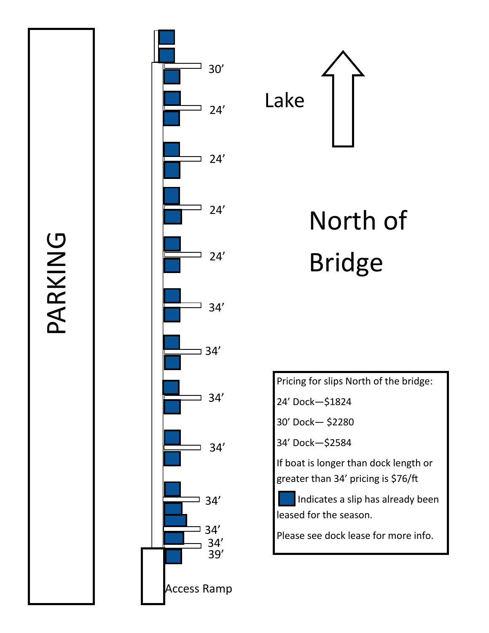



## North of Bridge

Pricing for slips North of the bridge:

24' Dock—\$1824

30' Dock— \$2280

34' Dock—\$2584

If boat is longer than dock length or greater than 34' pricing is \$76/ft

Indicates a slip has already been leased for the season.

Please see dock lease for more info.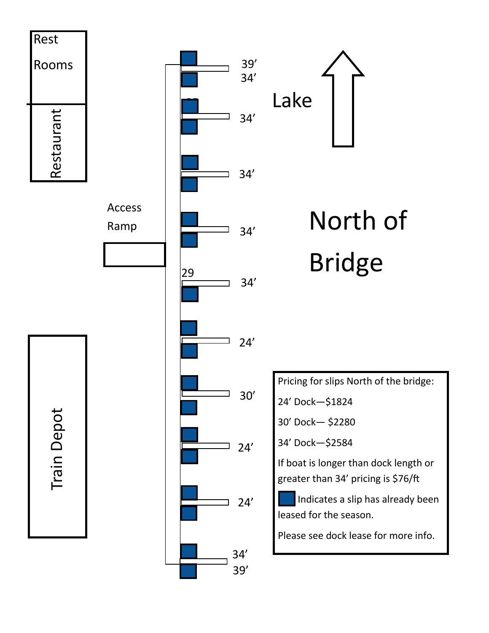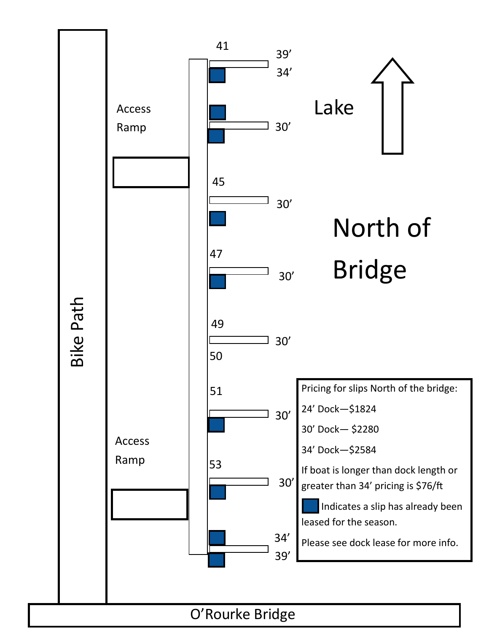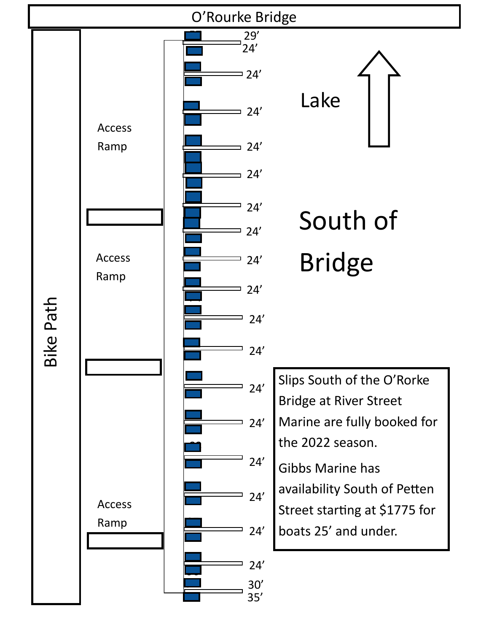



South of Bridge

Slips South of the O 'Rorke Bridge at River Street Marine are fully booked for the 2022 season.

Gibbs Marine has availability South of Petten Street starting at \$1775 for boats 25' and under.